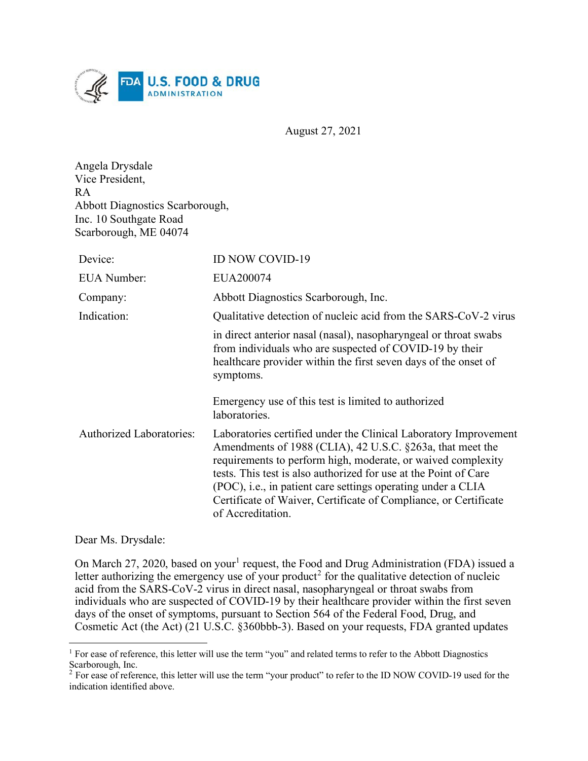

August 27, 2021

| Angela Drysdale                        |
|----------------------------------------|
| Vice President,                        |
| R A                                    |
| <b>Abbott Diagnostics Scarborough,</b> |
| Inc. 10 Southgate Road                 |
| Scarborough, ME 04074                  |

| Device:                         | <b>ID NOW COVID-19</b>                                                                                                                                                                                                                                                                                                                                                                                                     |
|---------------------------------|----------------------------------------------------------------------------------------------------------------------------------------------------------------------------------------------------------------------------------------------------------------------------------------------------------------------------------------------------------------------------------------------------------------------------|
| <b>EUA</b> Number:              | EUA200074                                                                                                                                                                                                                                                                                                                                                                                                                  |
| Company:                        | Abbott Diagnostics Scarborough, Inc.                                                                                                                                                                                                                                                                                                                                                                                       |
| Indication:                     | Qualitative detection of nucleic acid from the SARS-CoV-2 virus                                                                                                                                                                                                                                                                                                                                                            |
|                                 | in direct anterior nasal (nasal), nasopharyngeal or throat swabs<br>from individuals who are suspected of COVID-19 by their<br>healthcare provider within the first seven days of the onset of<br>symptoms.<br>Emergency use of this test is limited to authorized                                                                                                                                                         |
|                                 | laboratories.                                                                                                                                                                                                                                                                                                                                                                                                              |
| <b>Authorized Laboratories:</b> | Laboratories certified under the Clinical Laboratory Improvement<br>Amendments of 1988 (CLIA), 42 U.S.C. §263a, that meet the<br>requirements to perform high, moderate, or waived complexity<br>tests. This test is also authorized for use at the Point of Care<br>(POC), i.e., in patient care settings operating under a CLIA<br>Certificate of Waiver, Certificate of Compliance, or Certificate<br>of Accreditation. |

Dear Ms. Drysdale:

On March 27, 2020, based on your<sup>[1](#page-0-0)</sup> request, the Food and Drug Administration (FDA) issued a letter authorizing the emergency use of your product<sup>[2](#page-0-1)</sup> for the qualitative detection of nucleic acid from the SARS-CoV-2 virus in direct nasal, nasopharyngeal or throat swabs from individuals who are suspected of COVID-19 by their healthcare provider within the first seven days of the onset of symptoms, pursuant to Section 564 of the Federal Food, Drug, and Cosmetic Act (the Act) (21 U.S.C. §360bbb-3). Based on your requests, FDA granted updates

<span id="page-0-0"></span><sup>&</sup>lt;sup>1</sup> For ease of reference, this letter will use the term "you" and related terms to refer to the Abbott Diagnostics Scarborough, Inc.

<span id="page-0-1"></span> $2^{2}$  For ease of reference, this letter will use the term "your product" to refer to the ID NOW COVID-19 used for the indication identified above.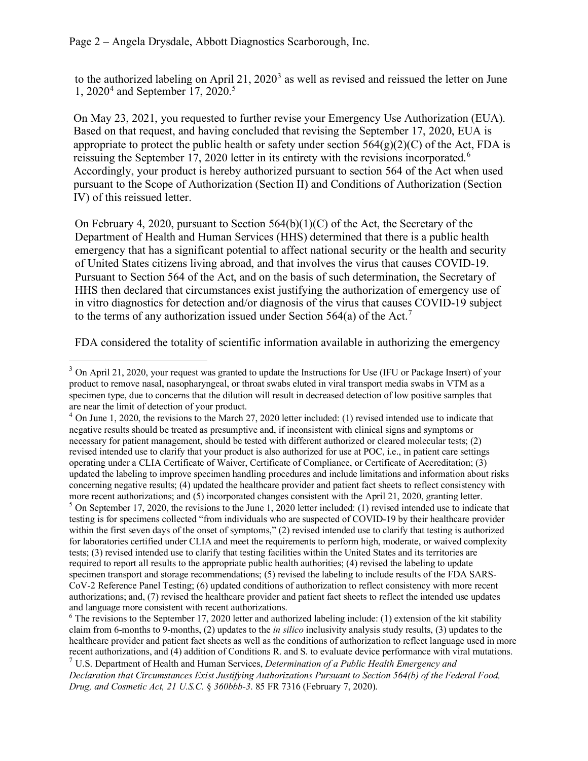to the authorized labeling on April 21,  $2020<sup>3</sup>$  $2020<sup>3</sup>$  $2020<sup>3</sup>$  as well as revised and reissued the letter on June 1, 2020<sup>[4](#page-1-1)</sup> and September 17, 2020.<sup>[5](#page-1-2)</sup>

On May 23, 2021, you requested to further revise your Emergency Use Authorization (EUA). Based on that request, and having concluded that revising the September 17, 2020, EUA is appropriate to protect the public health or safety under section  $564(g)(2)(C)$  of the Act, FDA is reissuing the September 17, 2020 letter in its entirety with the revisions incorporated.<sup>[6](#page-1-3)</sup> Accordingly, your product is hereby authorized pursuant to section 564 of the Act when used pursuant to the Scope of Authorization (Section II) and Conditions of Authorization (Section IV) of this reissued letter.

On February 4, 2020, pursuant to Section  $564(b)(1)(C)$  of the Act, the Secretary of the Department of Health and Human Services (HHS) determined that there is a public health emergency that has a significant potential to affect national security or the health and security of United States citizens living abroad, and that involves the virus that causes COVID-19. Pursuant to Section 564 of the Act, and on the basis of such determination, the Secretary of HHS then declared that circumstances exist justifying the authorization of emergency use of in vitro diagnostics for detection and/or diagnosis of the virus that causes COVID-19 subject to the terms of any authorization issued under Section 564(a) of the Act.<sup>[7](#page-1-4)</sup>

FDA considered the totality of scientific information available in authorizing the emergency

<span id="page-1-0"></span><sup>&</sup>lt;sup>3</sup> On April 21, 2020, your request was granted to update the Instructions for Use (IFU or Package Insert) of your product to remove nasal, nasopharyngeal, or throat swabs eluted in viral transport media swabs in VTM as a specimen type, due to concerns that the dilution will result in decreased detection of low positive samples that are near the limit of detection of your product.

<span id="page-1-2"></span><span id="page-1-1"></span> $<sup>4</sup>$  On June 1, 2020, the revisions to the March 27, 2020 letter included: (1) revised intended use to indicate that</sup> negative results should be treated as presumptive and, if inconsistent with clinical signs and symptoms or necessary for patient management, should be tested with different authorized or cleared molecular tests; (2) revised intended use to clarify that your product is also authorized for use at POC, i.e., in patient care settings operating under a CLIA Certificate of Waiver, Certificate of Compliance, or Certificate of Accreditation; (3) updated the labeling to improve specimen handling procedures and include limitations and information about risks concerning negative results; (4) updated the healthcare provider and patient fact sheets to reflect consistency with more recent authorizations; and (5) incorporated changes consistent with the April 21, 2020, granting letter.  $<sup>5</sup>$  On September 17, 2020, the revisions to the June 1, 2020 letter included: (1) revised intended use to indicate that</sup> testing is for specimens collected "from individuals who are suspected of COVID-19 by their healthcare provider within the first seven days of the onset of symptoms," (2) revised intended use to clarify that testing is authorized for laboratories certified under CLIA and meet the requirements to perform high, moderate, or waived complexity tests; (3) revised intended use to clarify that testing facilities within the United States and its territories are required to report all results to the appropriate public health authorities; (4) revised the labeling to update specimen transport and storage recommendations; (5) revised the labeling to include results of the FDA SARS-CoV-2 Reference Panel Testing; (6) updated conditions of authorization to reflect consistency with more recent authorizations; and, (7) revised the healthcare provider and patient fact sheets to reflect the intended use updates and language more consistent with recent authorizations.

<span id="page-1-3"></span> $6$  The revisions to the September 17, 2020 letter and authorized labeling include: (1) extension of the kit stability claim from 6-months to 9-months, (2) updates to the *in silico* inclusivity analysis study results, (3) updates to the healthcare provider and patient fact sheets as well as the conditions of authorization to reflect language used in more recent authorizations, and (4) addition of Conditions R. and S. to evaluate device performance with viral mutations. <sup>7</sup> U.S. Department of Health and Human Services, *Determination of a Public Health Emergency and* 

<span id="page-1-4"></span>*Declaration that Circumstances Exist Justifying Authorizations Pursuant to Section 564(b) of the Federal Food, Drug, and Cosmetic Act, 21 U.S.C.* § *360bbb-3*. 85 FR 7316 (February 7, 2020).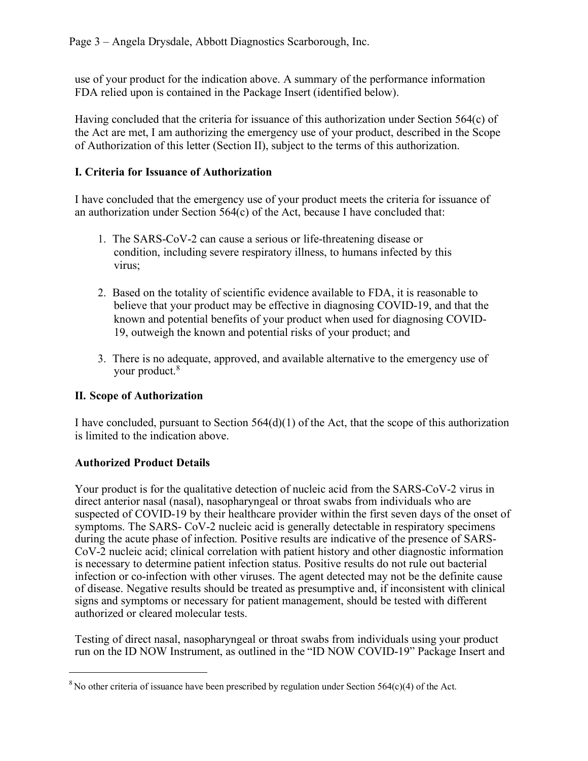use of your product for the indication above. A summary of the performance information FDA relied upon is contained in the Package Insert (identified below).

Having concluded that the criteria for issuance of this authorization under Section  $564(c)$  of the Act are met, I am authorizing the emergency use of your product, described in the Scope of Authorization of this letter (Section II), subject to the terms of this authorization.

### **I. Criteria for Issuance of Authorization**

I have concluded that the emergency use of your product meets the criteria for issuance of an authorization under Section 564(c) of the Act, because I have concluded that:

- 1. The SARS-CoV-2 can cause a serious or life-threatening disease or condition, including severe respiratory illness, to humans infected by this virus;
- 2. Based on the totality of scientific evidence available to FDA, it is reasonable to believe that your product may be effective in diagnosing COVID-19, and that the known and potential benefits of your product when used for diagnosing COVID-19, outweigh the known and potential risks of your product; and
- 3. There is no adequate, approved, and available alternative to the emergency use of your product.<sup>[8](#page-2-0)</sup>

# **II. Scope of Authorization**

I have concluded, pursuant to Section 564(d)(1) of the Act, that the scope of this authorization is limited to the indication above.

# **Authorized Product Details**

Your product is for the qualitative detection of nucleic acid from the SARS-CoV-2 virus in direct anterior nasal (nasal), nasopharyngeal or throat swabs from individuals who are suspected of COVID-19 by their healthcare provider within the first seven days of the onset of symptoms. The SARS- CoV-2 nucleic acid is generally detectable in respiratory specimens during the acute phase of infection. Positive results are indicative of the presence of SARS-CoV-2 nucleic acid; clinical correlation with patient history and other diagnostic information is necessary to determine patient infection status. Positive results do not rule out bacterial infection or co-infection with other viruses. The agent detected may not be the definite cause of disease. Negative results should be treated as presumptive and, if inconsistent with clinical signs and symptoms or necessary for patient management, should be tested with different authorized or cleared molecular tests.

Testing of direct nasal, nasopharyngeal or throat swabs from individuals using your product run on the ID NOW Instrument, as outlined in the "ID NOW COVID-19" Package Insert and

<span id="page-2-0"></span><sup>&</sup>lt;sup>8</sup> No other criteria of issuance have been prescribed by regulation under Section 564(c)(4) of the Act.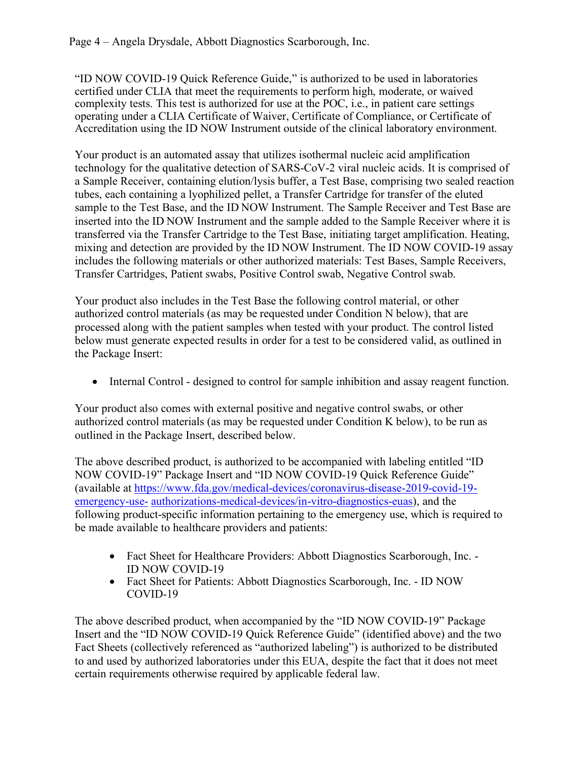"ID NOW COVID-19 Quick Reference Guide," is authorized to be used in laboratories certified under CLIA that meet the requirements to perform high, moderate, or waived complexity tests. This test is authorized for use at the POC, i.e., in patient care settings operating under a CLIA Certificate of Waiver, Certificate of Compliance, or Certificate of Accreditation using the ID NOW Instrument outside of the clinical laboratory environment.

Your product is an automated assay that utilizes isothermal nucleic acid amplification technology for the qualitative detection of SARS-CoV-2 viral nucleic acids. It is comprised of a Sample Receiver, containing elution/lysis buffer, a Test Base, comprising two sealed reaction tubes, each containing a lyophilized pellet, a Transfer Cartridge for transfer of the eluted sample to the Test Base, and the ID NOW Instrument. The Sample Receiver and Test Base are inserted into the ID NOW Instrument and the sample added to the Sample Receiver where it is transferred via the Transfer Cartridge to the Test Base, initiating target amplification. Heating, mixing and detection are provided by the ID NOW Instrument. The ID NOW COVID-19 assay includes the following materials or other authorized materials: Test Bases, Sample Receivers, Transfer Cartridges, Patient swabs, Positive Control swab, Negative Control swab.

Your product also includes in the Test Base the following control material, or other authorized control materials (as may be requested under Condition N below), that are processed along with the patient samples when tested with your product. The control listed below must generate expected results in order for a test to be considered valid, as outlined in the Package Insert:

• Internal Control - designed to control for sample inhibition and assay reagent function.

Your product also comes with external positive and negative control swabs, or other authorized control materials (as may be requested under Condition K below), to be run as outlined in the Package Insert, described below.

The above described product, is authorized to be accompanied with labeling entitled "ID NOW COVID-19" Package Insert and "ID NOW COVID-19 Quick Reference Guide" (available at [https://www.fda.gov/medical-devices/coronavirus-disease-2019-covid-19](https://www.fda.gov/medical-devices/coronavirus-disease-2019-covid-19-emergency-use-authorizations-medical-devices/vitro-diagnostics-euas) [emergency-use-](https://www.fda.gov/medical-devices/coronavirus-disease-2019-covid-19-emergency-use-authorizations-medical-devices/vitro-diagnostics-euas) [authorizations-medical-devices/in-vitro-diagnostics-euas\)](https://www.fda.gov/medical-devices/coronavirus-disease-2019-covid-19-emergency-use-authorizations-medical-devices/vitro-diagnostics-euas), and the following product-specific information pertaining to the emergency use, which is required to be made available to healthcare providers and patients:

- Fact Sheet for Healthcare Providers: Abbott Diagnostics Scarborough, Inc. -ID NOW COVID-19
- Fact Sheet for Patients: Abbott Diagnostics Scarborough, Inc. ID NOW COVID-19

The above described product, when accompanied by the "ID NOW COVID-19" Package Insert and the "ID NOW COVID-19 Quick Reference Guide" (identified above) and the two Fact Sheets (collectively referenced as "authorized labeling") is authorized to be distributed to and used by authorized laboratories under this EUA, despite the fact that it does not meet certain requirements otherwise required by applicable federal law.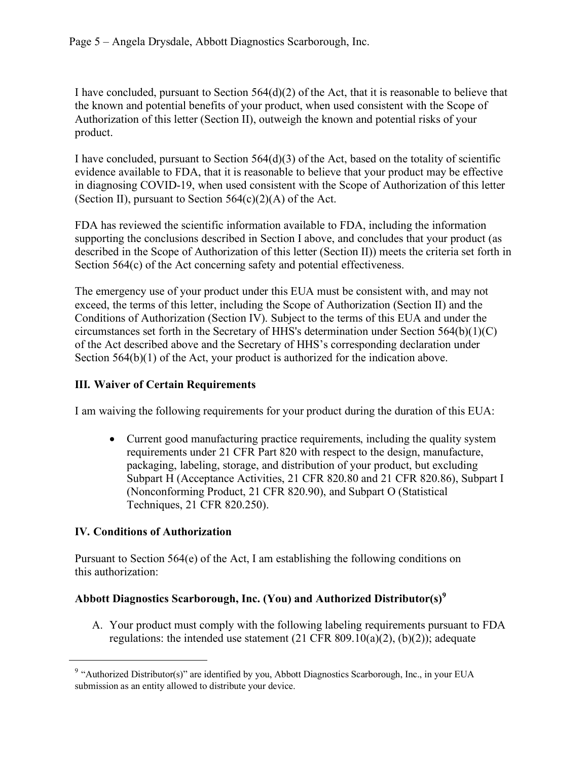I have concluded, pursuant to Section  $564(d)(2)$  of the Act, that it is reasonable to believe that the known and potential benefits of your product, when used consistent with the Scope of Authorization of this letter (Section II), outweigh the known and potential risks of your product.

I have concluded, pursuant to Section 564(d)(3) of the Act, based on the totality of scientific evidence available to FDA, that it is reasonable to believe that your product may be effective in diagnosing COVID-19, when used consistent with the Scope of Authorization of this letter (Section II), pursuant to Section  $564(c)(2)(A)$  of the Act.

FDA has reviewed the scientific information available to FDA, including the information supporting the conclusions described in Section I above, and concludes that your product (as described in the Scope of Authorization of this letter (Section II)) meets the criteria set forth in Section 564(c) of the Act concerning safety and potential effectiveness.

The emergency use of your product under this EUA must be consistent with, and may not exceed, the terms of this letter, including the Scope of Authorization (Section II) and the Conditions of Authorization (Section IV). Subject to the terms of this EUA and under the circumstances set forth in the Secretary of HHS's determination under Section  $564(b)(1)(C)$ of the Act described above and the Secretary of HHS's corresponding declaration under Section  $564(b)(1)$  of the Act, your product is authorized for the indication above.

# **III. Waiver of Certain Requirements**

I am waiving the following requirements for your product during the duration of this EUA:

• Current good manufacturing practice requirements, including the quality system requirements under 21 CFR Part 820 with respect to the design, manufacture, packaging, labeling, storage, and distribution of your product, but excluding Subpart H (Acceptance Activities, 21 CFR 820.80 and 21 CFR 820.86), Subpart I (Nonconforming Product, 21 CFR 820.90), and Subpart O (Statistical Techniques, 21 CFR 820.250).

# **IV. Conditions of Authorization**

Pursuant to Section 564(e) of the Act, I am establishing the following conditions on this authorization:

# **Abbott Diagnostics Scarborough, Inc. (You) and Authorized Distributor(s)[9](#page-4-0)**

A. Your product must comply with the following labeling requirements pursuant to FDA regulations: the intended use statement  $(21 \text{ CFR } 809.10(a)(2), (b)(2))$ ; adequate

<span id="page-4-0"></span><sup>&</sup>lt;sup>9</sup> "Authorized Distributor(s)" are identified by you, Abbott Diagnostics Scarborough, Inc., in your EUA submission as an entity allowed to distribute your device.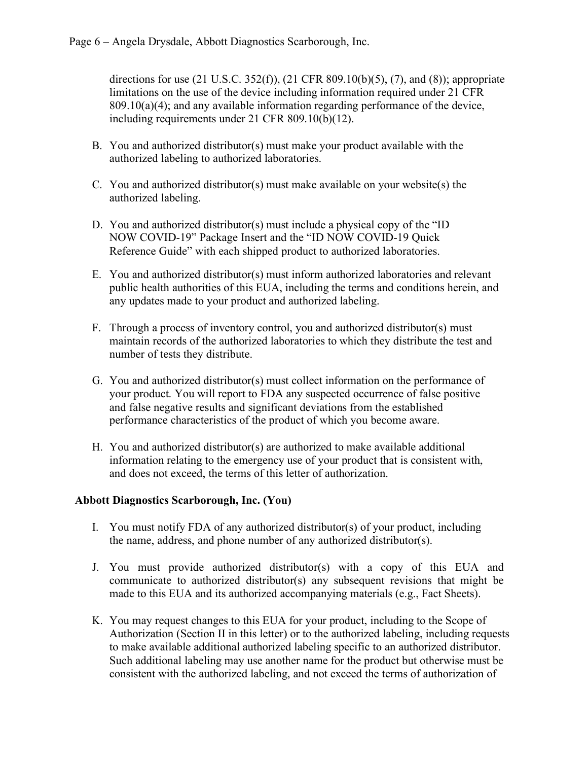directions for use (21 U.S.C. 352(f)), (21 CFR 809.10(b)(5), (7), and (8)); appropriate limitations on the use of the device including information required under 21 CFR  $809.10(a)(4)$ ; and any available information regarding performance of the device, including requirements under 21 CFR 809.10(b)(12).

- B. You and authorized distributor(s) must make your product available with the authorized labeling to authorized laboratories.
- C. You and authorized distributor(s) must make available on your website(s) the authorized labeling.
- D. You and authorized distributor(s) must include a physical copy of the "ID NOW COVID-19" Package Insert and the "ID NOW COVID-19 Quick Reference Guide" with each shipped product to authorized laboratories.
- E. You and authorized distributor(s) must inform authorized laboratories and relevant public health authorities of this EUA, including the terms and conditions herein, and any updates made to your product and authorized labeling.
- F. Through a process of inventory control, you and authorized distributor(s) must maintain records of the authorized laboratories to which they distribute the test and number of tests they distribute.
- G. You and authorized distributor(s) must collect information on the performance of your product. You will report to FDA any suspected occurrence of false positive and false negative results and significant deviations from the established performance characteristics of the product of which you become aware.
- H. You and authorized distributor(s) are authorized to make available additional information relating to the emergency use of your product that is consistent with, and does not exceed, the terms of this letter of authorization.

### **Abbott Diagnostics Scarborough, Inc. (You)**

- I. You must notify FDA of any authorized distributor(s) of your product, including the name, address, and phone number of any authorized distributor(s).
- J. You must provide authorized distributor(s) with a copy of this EUA and communicate to authorized distributor(s) any subsequent revisions that might be made to this EUA and its authorized accompanying materials (e.g., Fact Sheets).
- K. You may request changes to this EUA for your product, including to the Scope of Authorization (Section II in this letter) or to the authorized labeling, including requests to make available additional authorized labeling specific to an authorized distributor. Such additional labeling may use another name for the product but otherwise must be consistent with the authorized labeling, and not exceed the terms of authorization of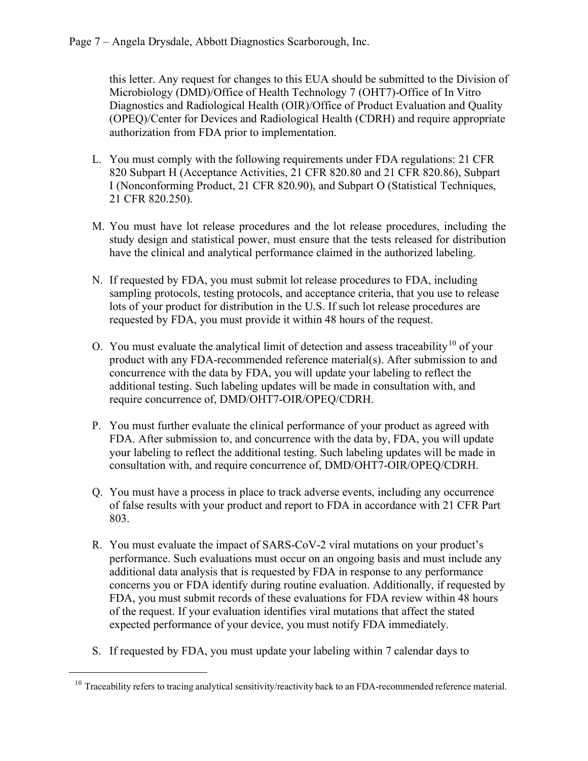this letter. Any request for changes to this EUA should be submitted to the Division of Microbiology (DMD)/Office of Health Technology 7 (OHT7)-Office of In Vitro Diagnostics and Radiological Health (OIR)/Office of Product Evaluation and Quality (OPEQ)/Center for Devices and Radiological Health (CDRH) and require appropriate authorization from FDA prior to implementation.

- L. You must comply with the following requirements under FDA regulations: 21 CFR 820 Subpart H (Acceptance Activities, 21 CFR 820.80 and 21 CFR 820.86), Subpart I (Nonconforming Product, 21 CFR 820.90), and Subpart O (Statistical Techniques, 21 CFR 820.250).
- M. You must have lot release procedures and the lot release procedures, including the study design and statistical power, must ensure that the tests released for distribution have the clinical and analytical performance claimed in the authorized labeling.
- N. If requested by FDA, you must submit lot release procedures to FDA, including sampling protocols, testing protocols, and acceptance criteria, that you use to release lots of your product for distribution in the U.S. If such lot release procedures are requested by FDA, you must provide it within 48 hours of the request.
- O. You must evaluate the analytical limit of detection and assess traceability<sup>[10](#page-6-0)</sup> of your product with any FDA-recommended reference material(s). After submission to and concurrence with the data by FDA, you will update your labeling to reflect the additional testing. Such labeling updates will be made in consultation with, and require concurrence of, DMD/OHT7-OIR/OPEQ/CDRH.
- P. You must further evaluate the clinical performance of your product as agreed with FDA. After submission to, and concurrence with the data by, FDA, you will update your labeling to reflect the additional testing. Such labeling updates will be made in consultation with, and require concurrence of, DMD/OHT7-OIR/OPEQ/CDRH.
- Q. You must have a process in place to track adverse events, including any occurrence of false results with your product and report to FDA in accordance with 21 CFR Part 803.
- R. You must evaluate the impact of SARS-CoV-2 viral mutations on your product's performance. Such evaluations must occur on an ongoing basis and must include any additional data analysis that is requested by FDA in response to any performance concerns you or FDA identify during routine evaluation. Additionally, if requested by FDA, you must submit records of these evaluations for FDA review within 48 hours of the request. If your evaluation identifies viral mutations that affect the stated expected performance of your device, you must notify FDA immediately.
- S. If requested by FDA, you must update your labeling within 7 calendar days to

<span id="page-6-0"></span> $10$  Traceability refers to tracing analytical sensitivity/reactivity back to an FDA-recommended reference material.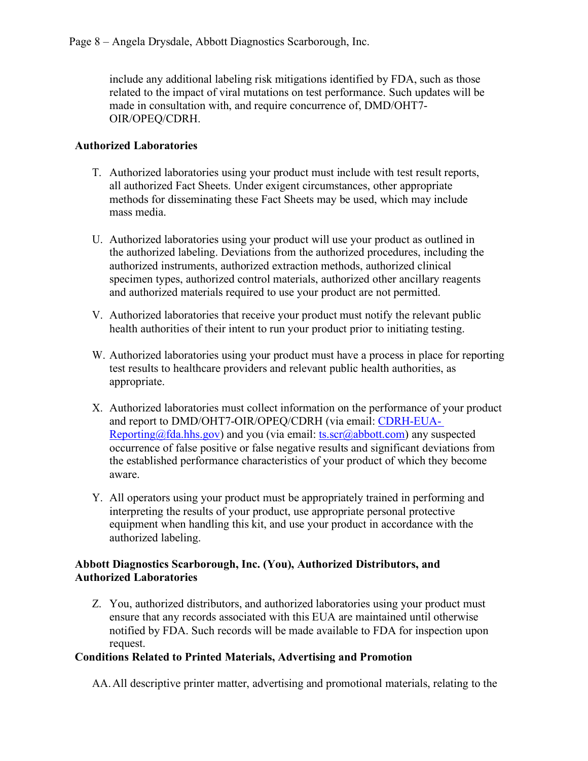include any additional labeling risk mitigations identified by FDA, such as those related to the impact of viral mutations on test performance. Such updates will be made in consultation with, and require concurrence of, DMD/OHT7- OIR/OPEQ/CDRH.

#### **Authorized Laboratories**

- T. Authorized laboratories using your product must include with test result reports, all authorized Fact Sheets. Under exigent circumstances, other appropriate methods for disseminating these Fact Sheets may be used, which may include mass media.
- U. Authorized laboratories using your product will use your product as outlined in the authorized labeling. Deviations from the authorized procedures, including the authorized instruments, authorized extraction methods, authorized clinical specimen types, authorized control materials, authorized other ancillary reagents and authorized materials required to use your product are not permitted.
- V. Authorized laboratories that receive your product must notify the relevant public health authorities of their intent to run your product prior to initiating testing.
- W. Authorized laboratories using your product must have a process in place for reporting test results to healthcare providers and relevant public health authorities, as appropriate.
- X. Authorized laboratories must collect information on the performance of your product and report to DMD/OHT7-OIR/OPEQ/CDRH (via email: [CDRH-EUA-](mailto:CDRH-EUA-)[Reporting@fda.hhs.gov\)](mailto:CDRH-EUA-Reporting@fda.hhs.gov) and you (via email[: ts.scr@abbott.com\)](mailto:ts.scr@abbott.com) any suspected occurrence of false positive or false negative results and significant deviations from the established performance characteristics of your product of which they become aware.
- Y. All operators using your product must be appropriately trained in performing and interpreting the results of your product, use appropriate personal protective equipment when handling this kit, and use your product in accordance with the authorized labeling.

#### **Abbott Diagnostics Scarborough, Inc. (You), Authorized Distributors, and Authorized Laboratories**

Z. You, authorized distributors, and authorized laboratories using your product must ensure that any records associated with this EUA are maintained until otherwise notified by FDA. Such records will be made available to FDA for inspection upon request.

### **Conditions Related to Printed Materials, Advertising and Promotion**

AA.All descriptive printer matter, advertising and promotional materials, relating to the